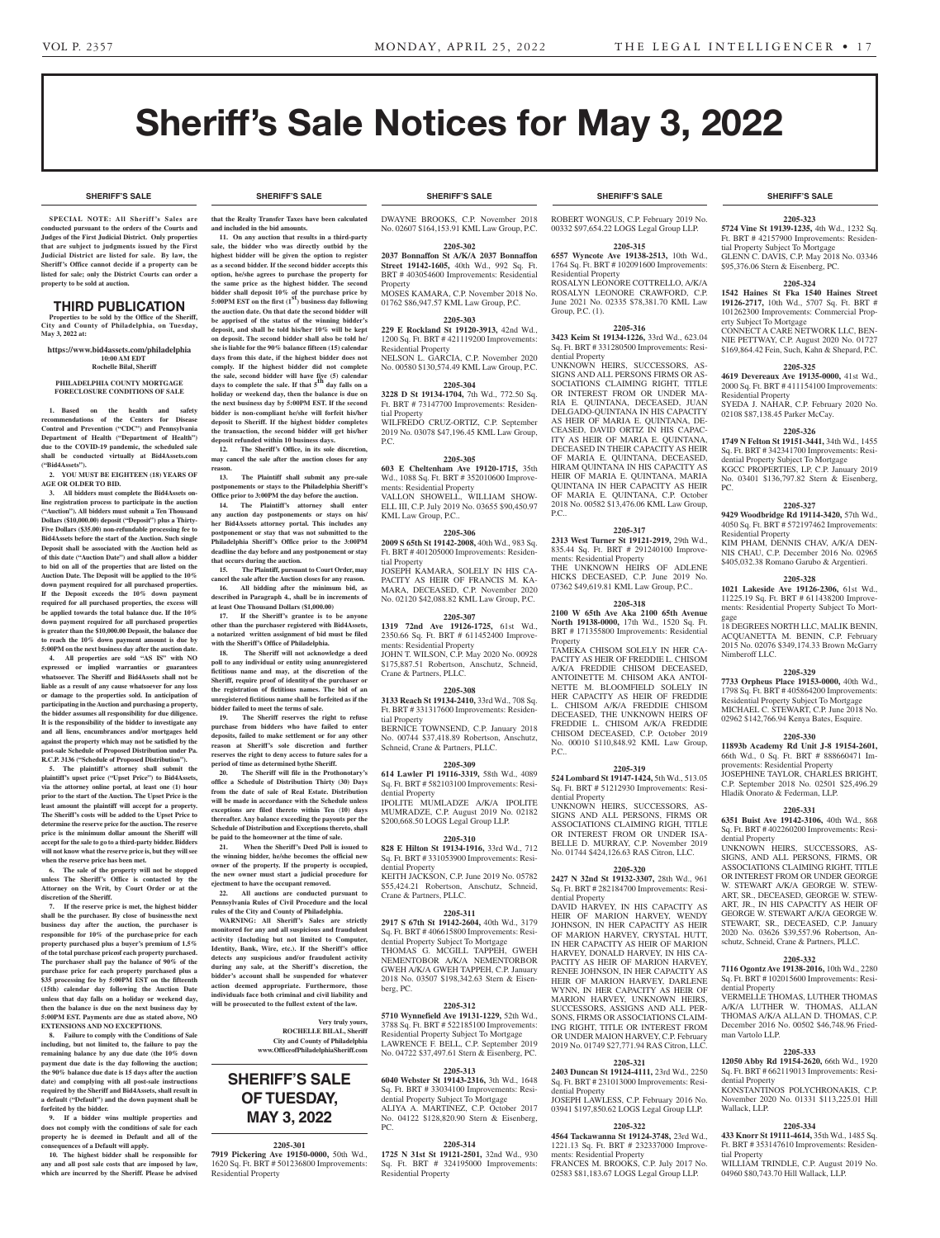**SHERIFF'S SALE SHERIFF'S SALE SHERIFF'S SALE SHERIFF'S SALE SHERIFF'S SALE**

# Sheriff's Sale Notices for May 3, 2022

**SPECIAL NOTE: All Sheriff 's Sales are conducted pursuant to the orders of the Courts and Judges of the First Judicial District. Only properties that are subject to judgments issued by the First Judicial District are listed for sale. By law, the Sheriff's Office cannot decide if a property can be listed for sale; only the District Courts can order a property to be sold at auction.** 

#### THIRD PUBLICATION

**Properties to be sold by the Office of the Sheriff, City and County of Philadelphia, on Tuesday, May 3, 2022 at:**

**https://www.bid4assets.com/philadelphia 10:00 AM EDT Rochelle Bilal, Sheriff**

#### **PHILADELPHIA COUNTY MORTGAGE FORECLOSURE CONDITIONS OF SALE**

**1. Based on the health and safety recommendations of the Centers for Disease Control and Prevention ("CDC") and Pennsylvania Department of Health ("Department of Health") due to the COVID-19 pandemic, the scheduled sale shall be conducted virtually at Bid4Assets.com ("Bid4Assets").**

**2. YOU MUST BE EIGHTEEN (18) YEARS OF AGE OR OLDER TO BID.**

**3. All bidders must complete the Bid4Assets online registration process to participate in the auction ("Auction"). All bidders must submit a Ten Thousand Dollars (\$10,000.00) deposit ("Deposit") plus a Thirty-Five Dollars (\$35.00) non-refundable processing fee to Bid4Assets before the start of the Auction. Such single Deposit shall be associated with the Auction held as of this date ("Auction Date") and shall allow a bidder to bid on all of the properties that are listed on the Auction Date. The Deposit will be applied to the 10% down payment required for all purchased properties. If the Deposit exceeds the 10% down payment required for all purchased properties, the excess will be applied towards the total balance due. If the 10% down payment required for all purchased properties is greater than the \$10,000.00 Deposit, the balance due to reach the 10% down payment amount is due by 5:00PM on the next business day after the auction date.**

**4. All properties are sold "AS IS" with NO expressed or implied warranties or guarantees whatsoever. The Sheriff and Bid4Assets shall not be liable as a result of any cause whatsoever for any loss or damage to the properties sold. In anticipation of participating in the Auction and purchasing a property, the bidder assumes all responsibility for due diligence. It is the responsibility of the bidder to investigate any and all liens, encumbrances and/or mortgages held against the property which may not be satisfied by the post-sale Schedule of Proposed Distribution under Pa. R.C.P. 3136 ("Schedule of Proposed Distribution").**

**5. The plaintiff's attorney shall submit the plaintiff's upset price ("Upset Price") to Bid4Assets, via the attorney online portal, at least one (1) hour prior to the start of the Auction. The Upset Price is the least amount the plaintiff will accept for a property. The Sheriff's costs will be added to the Upset Price to determine the reserve price for the auction. The reserve price is the minimum dollar amount the Sheriff will accept for the sale to go to a third-party bidder. Bidders will not know what the reserve price is, but they will see when the reserve price has been met.**

**6. The sale of the property will not be stopped unless The Sheriff's Office is contacted by the Attorney on the Writ, by Court Order or at the discretion of the Sheriff.**

**7. If the reserve price is met, the highest bidder shall be the purchaser. By close of businessthe next business day after the auction, the purchaser is responsible for 10% of the purchase price for each property purchased plus a buyer's premium of 1.5% of the total purchase priceof each property purchased. The purchaser shall pay the balance of 90% of the purchase price for each property purchased plus a \$35 processing fee by 5:00PM EST on the fifteenth (15th) calendar day following the Auction Date unless that day falls on a holiday or weekend day, then the balance is due on the next business day by 5:00PM EST. Payments are due as stated above, NO EXTENSIONS AND NO EXCEPTIONS.**

**8. Failure to comply with the Conditions of Sale including, but not limited to, the failure to pay the remaining balance by any due date (the 10% down payment due date is the day following the auction; the 90% balance due date is 15 days after the auction date) and complying with all post-sale instructions required by the Sheriff and Bid4Assets, shall result in a default ("Default") and the down payment shall be forfeited by the bidder.**

**9. If a bidder wins multiple properties and does not comply with the conditions of sale for each property he is deemed in Default and all of the consequences of a Default will apply.**

**10. The highest bidder shall be responsible for any and all post sale costs that are imposed by law, which are incurred by the Sheriff. Please be advised** 

**that the Realty Transfer Taxes have been calculated and included in the bid amounts.**

**11. On any auction that results in a third-party sale, the bidder who was directly outbid by the highest bidder will be given the option to register as a second bidder. If the second bidder accepts this option, he/she agrees to purchase the property for the same price as the highest bidder. The second bidder shall deposit 10% of the purchase price by 5:00PM EST on the first (1st) business day following the auction date. On that date the second bidder will be apprised of the status of the winning bidder's deposit, and shall be told his/her 10% will be kept on deposit. The second bidder shall also be told he/ she is liable for the 90% balance fifteen (15) calendar days from this date, if the highest bidder does not comply. If the highest bidder did not complete the sale, second bidder will have five (5) calendar days to complete the sale. If that 5th day falls on a holiday or weekend day, then the balance is due on the next business day by 5:00PM EST. If the second bidder is non-compliant he/she will forfeit his/her deposit to Sheriff. If the highest bidder completes the transaction, the second bidder will get his/her deposit refunded within 10 business days.** 12. The Sheriff's Office, in its sole discretion

**may cancel the sale after the auction closes for any reason.**

**13. The Plaintiff shall submit any pre-sale postponements or stays to the Philadelphia Sheriff's Office prior to 3:00PM the day before the auction.**

**14. The Plaintiff's attorney shall enter any auction day postponements or stays on his/ her Bid4Assets attorney portal. This includes any postponement or stay that was not submitted to the Philadelphia Sheriff's Office prior to the 3:00PM deadline the day before and any postponement or stay that occurs during the auction.**

**15. The Plaintiff, pursuant to Court Order, may cancel the sale after the Auction closes for any reason. 16. All bidding after the minimum bid, as described in Paragraph 4., shall be in increments of at least One Thousand Dollars (\$1,000.00)**

**17. If the Sheriff's grantee is to be anyone other than the purchaser registered with Bid4Assets, a notarized written assignment of bid must be filed with the Sheriff's Office of Philadelphia.**

**18. The Sheriff will not acknowledge a deed poll to any individual or entity using anunregistered fictitious name and may, at the discretion of the Sheriff, require proof of identityof the purchaser or the registration of fictitious names. The bid of an unregistered fictitious name shall be forfeited as if the bidder failed to meet the terms of sale.**

**19. The Sheriff reserves the right to refuse purchase from bidders who have failed to enter deposits, failed to make settlement or for any other reason at Sheriff's sole discretion and further reserves the right to deny access to future sales for a period of time as determined bythe Sheriff.**

**20. The Sheriff will file in the Prothonotary's office a Schedule of Distribution Thirty (30) Days from the date of sale of Real Estate. Distribution will be made in accordance with the Schedule unless exceptions are filed thereto within Ten (10) days thereafter. Any balance exceeding the payouts per the Schedule of Distribution and Exceptions thereto, shall be paid to the homeowner at the time of sale.**

**21. When the Sheriff's Deed Poll is issued to the winning bidder, he/she becomes the official new owner of the property. If the property is occupied, the new owner must start a judicial procedure for ejectment to have the occupant removed.**

**22. All auctions are conducted pursuant to Pennsylvania Rules of Civil Procedure and the local rules of the City and County of Philadelphia.**

**WARNING: All Sheriff's Sales are strictly monitored for any and all suspicious and fraudulent activity (Including but not limited to Computer, Identity, Bank, Wire, etc.). If the Sheriff's office detects any suspicious and/or fraudulent activity during any sale, at the Sheriff's discretion, the bidder's account shall be suspended for whatever action deemed appropriate. Furthermore, those individuals face both criminal and civil liability and will be prosecuted to the fullest extent of the law.**

> **Very truly yours, ROCHELLE BILAL, Sheriff City and County of Philadelphia**

**www.OfficeofPhiladelphiaSheriff.com**

# **SHERIFF'S SALE OF Tuesday, May 3, 2022**

#### **2205-301**

**7919 Pickering Ave 19150-0000,** 50th Wd., 1620 Sq. Ft. BRT # 501236800 Improvements: Residential Property

DWAYNE BROOKS, C.P. November 2018 No. 02607 \$164,153.91 KML Law Group, P.C.

**2205-302 2037 Bonnaffon St A/K/A 2037 Bonnaffon Street 19142-1605,** 40th Wd., 992 Sq. Ft. BRT # 403054600 Improvements: Residential

**Property** MOSES KAMARA, C.P. November 2018 No. 01762 \$86,947.57 KML Law Group, P.C.

### **2205-303**

**229 E Rockland St 19120-3913,** 42nd Wd., 1200 Sq. Ft. BRT # 421119200 Improvements: Residential Property

NELSON L. GARCIA, C.P. November 2020 No. 00580 \$130,574.49 KML Law Group, P.C.

# **2205-304**

**3228 D St 19134-1704,** 7th Wd., 772.50 Sq. Ft. BRT # 73147700 Improvements: Residential Property WILFREDO CRUZ-ORTIZ, C.P. September

2019 No. 03078 \$47,196.45 KML Law Group, P.C.

#### **2205-305**

**603 E Cheltenham Ave 19120-1715,** 35th Wd., 1088 Sq. Ft. BRT # 352010600 Improvements: Residential Property VALLON SHOWELL, WILLIAM SHOW-ELL III, C.P. July 2019 No. 03655 \$90,450.97 KML Law Group, P.C..

## **2205-306**

**2009 S 65th St 19142-2008,** 40th Wd., 983 Sq. Ft. BRT # 401205000 Improvements: Residential Property

JOSEPH KAMARA, SOLELY IN HIS CA-PACITY AS HEIR OF FRANCIS M. KA-MARA, DECEASED, C.P. November 2020 No. 02120 \$42,088.82 KML Law Group, P.C.

## **2205-307**

**1319 72nd Ave 19126-1725,** 61st Wd., 2350.66 Sq. Ft. BRT # 611452400 Improvements: Residential Property JOHN T. WILSON, C.P. May 2020 No. 00928 \$175,887.51 Robertson, Anschutz, Schneid, Crane & Partners, PLLC.

#### **2205-308**

**3133 Reach St 19134-2410,** 33rd Wd., 708 Sq. Ft. BRT # 331317600 Improvements: Residential Property

BERNICE TOWNSEND, C.P. January 2018 No. 00744 \$37,418.89 Robertson, Anschutz, Schneid, Crane & Partners, PLLC.

#### **2205-309**

**614 Lawler Pl 19116-3319,** 58th Wd., 4089 Sq. Ft. BRT # 582103100 Improvements: Residential Property

IPOLITE MUMLADZE A/K/A IPOLITE MUMRADZE, C.P. August 2019 No. 02182 \$200,668.50 LOGS Legal Group LLP.

# **2205-310**

**828 E Hilton St 19134-1916,** 33rd Wd., 712 Sq. Ft. BRT # 331053900 Improvements: Residential Property

KEITH JACKSON, C.P. June 2019 No. 05782 \$55,424.21 Robertson, Anschutz, Schneid, Crane & Partners, PLLC.

#### **2205-311**

**2917 S 67th St 19142-2604,** 40th Wd., 3179 Sq. Ft. BRT # 406615800 Improvements: Resintial Property Subject To Mortga THOMAS G. MCGILL TAPPEH, GWEH NEMENTOBOR A/K/A NEMENTORBOR GWEH A/K/A GWEH TAPPEH, C.P. January 2018 No. 03507 \$198,342.63 Stern & Eisenberg, PC.

#### **2205-312**

**5710 Wynnefield Ave 19131-1229,** 52th Wd., 3788 Sq. Ft. BRT # 522185100 Improvements: Residential Property Subject To Mortgage LAWRENCE F. BELL, C.P. September 2019 No. 04722 \$37,497.61 Stern & Eisenberg, PC.

#### **2205-313**

**6040 Webster St 19143-2316,** 3th Wd., 1648 Sq. Ft. BRT # 33034100 Improvements: Residential Property Subject To Mortgage ALIYA A. MARTINEZ, C.P. October 2017 No. 04122 \$128,820.90 Stern & Eisenberg, PC.

#### **2205-314**

**1725 N 31st St 19121-2501,** 32nd Wd., 930 Sq. Ft. BRT # 324195000 Improvements: Residential Property

**SHERIFF'S SALE SHERIFF'S SALE SHERIFF'S SALE SHERIFF'S SALE SHERIFF'S SALE**

ROBERT WONGUS, C.P. February 2019 No. 00332 \$97,654.22 LOGS Legal Group LLP.

## **2205-315**

**6557 Wyncote Ave 19138-2513,** 10th Wd., 1764 Sq. Ft. BRT # 102091600 Improvements: Residential Property ROSALYN LEONORE COTTRELLO, A/K/A ROSALYN LEONORE CRAWFORD, C.P. June 2021 No. 02335 \$78,381.70 KML Law Group, P.C. (1).

# **2205-316**

**3423 Keim St 19134-1226,** 33rd Wd., 623.04 Sq. Ft. BRT # 331280500 Improvements: Residential Property

UNKNOWN HEIRS, SUCCESSORS, AS-SIGNS AND ALL PERSONS FIRMS OR AS-SOCIATIONS CLAIMING RIGHT, TITLE OR INTEREST FROM OR UNDER MA-RIA E. QUINTANA, DECEASED, JUAN DELGADO-QUINTANA IN HIS CAPACITY AS HEIR OF MARIA E. QUINTANA, DE-CEASED, DAVID ORTIZ IN HIS CAPAC-ITY AS HEIR OF MARIA E. QUINTANA, DECEASED IN THEIR CAPACITY AS HEIR OF MARIA E. QUINTANA, DECEASED, HIRAM QUINTANA IN HIS CAPACITY AS HEIR OF MARIA E. QUINTANA, MARIA QUINTANA IN HER CAPACITY AS HEIR OF MARIA E. QUINTANA, C.P. October 2018 No. 00582 \$13,476.06 KML Law Group, P.C..

#### **2205-317**

**2313 West Turner St 19121-2919,** 29th Wd., 835.44 Sq. Ft. BRT # 291240100 Improvements: Residential Property THE UNKNOWN HEIRS OF ADLENE HICKS DECEASED, C.P. June 2019 No. 07362 \$49,619.81 KML Law Group, P.C..

#### **2205-318**

**2100 W 65th Ave Aka 2100 65th Avenue North 19138-0000,** 17th Wd., 1520 Sq. Ft. BRT # 171355800 Improvements: Residential Property

TAMEKA CHISOM SOLELY IN HER CA-PACITY AS HEIR OF FREDDIE L. CHISOM A/K/A FREDDIE CHISOM DECEASED, ANTOINETTE M. CHISOM AKA ANTOI-NETTE M. BLOOMFIELD SOLELY IN HER CAPACITY AS HEIR OF FREDDIE L. CHISOM A/K/A FREDDIE CHISOM DECEASED, THE UNKNOWN HEIRS OF FREDDIE L. CHISOM A/K/A FREDDIE CHISOM DECEASED, C.P. October 2019 No. 00010 \$110,848.92 KML Law Group,  $PC<sub>c</sub>$ 

#### **2205-319**

**524 Lombard St 19147-1424,** 5th Wd., 513.05 Sq. Ft. BRT # 51212930 Improvements: Resi-

dential Property UNKNOWN HEIRS, SUCCESSORS, AS-SIGNS AND ALL PERSONS, FIRMS OR ASSOCIATIONS CLAIMING RIGH, TITLE OR INTEREST FROM OR UNDER ISA-BELLE D. MURRAY, C.P. November 2019 No. 01744 \$424,126.63 RAS Citron, LLC.

#### **2205-320**

**2427 N 32nd St 19132-3307,** 28th Wd., 961 Sq. Ft. BRT # 282184700 Improvements: Residential Property

DAVID HARVEY, IN HIS CAPACITY AS HEIR OF MARION HARVEY, WENDY JOHNSON, IN HER CAPACITY AS HEIR OF MARION HARVEY, CRYSTAL HUTT, IN HER CAPACITY AS HEIR OF MARION HARVEY, DONALD HARVEY, IN HIS CA-PACITY AS HEIR OF MARION HARVEY, RENEE JOHNSON, IN HER CAPACITY AS HEIR OF MARION HARVEY, DARLENE WYNN, IN HER CAPACITY AS HEIR OF MARION HARVEY UNKNOWN HEIRS SUCCESSORS, ASSIGNS AND ALL PER-SONS, FIRMS OR ASSOCIATIONS CLAIM-ING RIGHT, TITLE OR INTEREST FROM OR UNDER MAION HARVEY, C.P. February 2019 No. 01749 \$27,771.94 RAS Citron, LLC.

#### **2205-321**

**2403 Duncan St 19124-4111,** 23rd Wd., 2250 Sq. Ft. BRT # 231013000 Improvements: Residential Property JOSEPH LAWLESS, C.P. February 2016 No.

# 03941 \$197,850.62 LOGS Legal Group LLP. **2205-322**

**4564 Tackawanna St 19124-3748,** 23rd Wd., 1221.13 Sq. Ft. BRT # 232337000 Improvements: Residential Property FRANCES M. BROOKS, C.P. July 2017 No. 02583 \$81,183.67 LOGS Legal Group LLP.

#### **2205-323**

**5724 Vine St 19139-1235,** 4th Wd., 1232 Sq. Ft. BRT # 42157900 Improvements: Residential Property Subject To Mortgage GLENN C. DAVIS, C.P. May 2018 No. 03346 \$95,376.06 Stern & Eisenberg, PC.

#### **2205-324**

**1542 Haines St Fka 1540 Haines Street 19126-2717,** 10th Wd., 5707 Sq. Ft. BRT # 101262300 Improvements: Commercial Property Subject To Mortgage CONNECT A CARE NETWORK LLC, BEN-NIE PETTWAY, C.P. August 2020 No. 01727 \$169,864.42 Fein, Such, Kahn & Shepard, P.C.

#### **2205-325 4619 Devereaux Ave 19135-0000,** 41st Wd.,

Residential Property

Residential Property

PC.

gage

Nimberoff LLC.

dential Property

dential Property

man Vartolo LLP.

dential Property

Wallack, LLP.

tial Property

2000 Sq. Ft. BRT # 411154100 Improvements:

SYEDA J. NAHAR, C.P. February 2020 No.

**2205-326 1749 N Felton St 19151-3441,** 34th Wd., 1455 Sq. Ft. BRT # 342341700 Improvements: Residential Property Subject To Mortgage KGCC PROPERTIES, LP, C.P. January 2019 No. 03401 \$136,797.82 Stern & Eisenberg,

**2205-327 9429 Woodbridge Rd 19114-3420,** 57th Wd., 4050 Sq. Ft. BRT # 572197462 Improvements:

KIM PHAM, DENNIS CHAV, A/K/A DEN-NIS CHAU, C.P. December 2016 No. 02965 \$405,032.38 Romano Garubo & Argentieri. **2205-328 1021 Lakeside Ave 19126-2306,** 61st Wd., 11225.19 Sq. Ft. BRT # 611438200 Improvements: Residential Property Subject To Mort-

18 DEGREES NORTH LLC, MALIK BENIN, ACQUANETTA M. BENIN, C.P. February 2015 No. 02076 \$349,174.33 Brown McGarry

**2205-329 7733 Orpheus Place 19153-0000,** 40th Wd., 1798 Sq. Ft. BRT # 405864200 Improvements: Residential Property Subject To Mortgage MICHAEL C. STEWART, C.P. June 2018 No. 02962 \$142,766.94 Kenya Bates, Esquire. **2205-330 11893b Academy Rd Unit J-8 19154-2601,**  66th Wd., 0 Sq. Ft. BRT # 888660471 Im-

JOSEPHINE TAYLOR, CHARLES BRIGHT, C.P. September 2018 No. 02501 \$25,496.29 Hladik Onorato & Federman, LLP.

**2205-331 6351 Buist Ave 19142-3106,** 40th Wd., 868 Sq. Ft. BRT # 402260200 Improvements: Resi-

UNKNOWN HEIRS, SUCCESSORS, AS-SIGNS, AND ALL PERSONS, FIRMS, OR ASSOCIATIONS CLAIMING RIGHT, TITLE OR INTEREST FROM OR UNDER GEORGE W. STEWART A/K/A GEORGE W. STEW-ART, SR., DECEASED, GEORGE W. STEW-ART, JR., IN HIS CAPACITY AS HEIR OF GEORGE W. STEWART A/K/A GEORGE W. STEWART, SR., DECEASED, C.P. January 2020 No. 03626 \$39,557.96 Robertson, Anschutz, Schneid, Crane & Partners, PLLC. **2205-332 7116 Ogontz Ave 19138-2016,** 10th Wd., 2280 Sq. Ft. BRT # 102015600 Improvements: Resi-

VERMELLE THOMAS, LUTHER THOMAS A/K/A LUTHER W. THOMAS, ALLAN THOMAS A/K/A ALLAN D. THOMAS, C.P. December 2016 No. 00502 \$46,748.96 Fried-

**2205-333 12050 Abby Rd 19154-2620,** 66th Wd., 1920 Sq. Ft. BRT # 662119013 Improvements: Resi-

KONSTANTINOS POLYCHRONAKIS, C.P. November 2020 No. 01331 \$113,225.01 Hill

**2205-334 433 Knorr St 19111-4614,** 35th Wd., 1485 Sq. Ft. BRT # 353147610 Improvements: Residen-

WILLIAM TRINDLE, C.P. August 2019 No. 04960 \$80,743.70 Hill Wallack, LLP.

provements: Residential Property

02108 \$87,138.45 Parker McCay.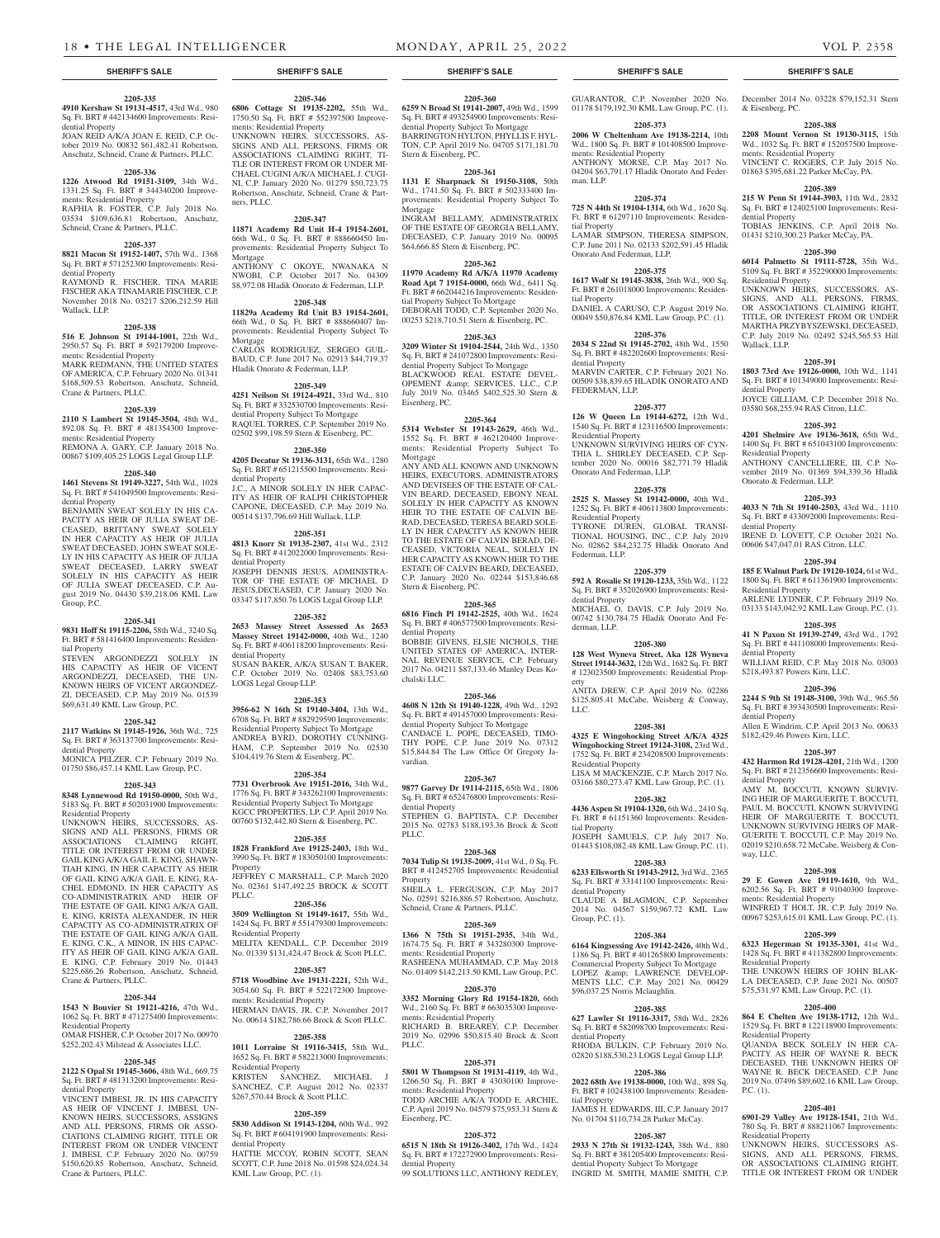**2205-335 4910 Kershaw St 19131-4517,** 43rd Wd., 980 Sq. Ft. BRT # 442134600 Improvements: Resi-

JOAN REID A/K/A JOAN E. REID, C.P. October 2019 No. 00832 \$61,482.41 Robertson, Anschutz, Schneid, Crane & Partners, PLLC. **2205-336 1226 Atwood Rd 19151-3109,** 34th Wd., 1331.25 Sq. Ft. BRT # 344340200 Improve-

RAFHIA R. FOSTER, C.P. July 2018 No. 03534 \$109,636.81 Robertson, Anschutz, Schneid, Crane & Partners, PLLC.

**2205-337 8821 Macon St 19152-1407,** 57th Wd., 1368 Sq. Ft. BRT # 571252300 Improvements: Resi-

RAYMOND R. FISCHER, TINA MARIE FISCHER AKA TINAMARIE FISCHER, C.P. November 2018 No. 03217 \$206,212.59 Hill

**2205-338 516 E Johnson St 19144-1001,** 22th Wd., 2950.57 Sq. Ft. BRT # 592179200 Improve-

MARK REDMANN, THE UNITED STATES OF AMERICA, C.P. February 2020 No. 01341 \$168,509.53 Robertson, Anschutz, Schneid,

**2205-339 2110 S Lambert St 19145-3504,** 48th Wd., 892.08 Sq. Ft. BRT # 481354300 Improve-

REMONA A. GARY, C.P. January 2018 No. 00867 \$109,405.25 LOGS Legal Group LLP. **2205-340 1461 Stevens St 19149-3227,** 54th Wd., 1028 Sq. Ft. BRT # 541049500 Improvements: Resi-

BENJAMIN SWEAT SOLELY IN HIS CA-PACITY AS HEIR OF JULIA SWEAT DE-CEASED, BRITTANY SWEAT SOLELY IN HER CAPACITY AS HEIR OF JULIA SWEAT DECEASED, JOHN SWEAT SOLE-LY IN HIS CAPACITY AS HEIR OF JULIA SWEAT DECEASED, LARRY SWEAT SOLELY IN HIS CAPACITY AS HEIR OF JULIA SWEAT DECEASED, C.P. August 2019 No. 04430 \$39,218.06 KML Law

**2205-341 9831 Hoff St 19115-2206,** 58th Wd., 3240 Sq. Ft. BRT # 581416400 Improvements: Residen-

STEVEN ARGONDEZZI SOLELY IN HIS CAPACITY AS HEIR OF VICENT ARGONDEZZI, DECEASED, THE UN-KNOWN HEIRS OF VICENT ARGONDEZ-ZI, DECEASED, C.P. May 2019 No. 01539 \$69,631.49 KML Law Group, P.C.

**2205-342 2117 Watkins St 19145-1926,** 36th Wd., 725 Sq. Ft. BRT # 363137700 Improvements: Resi-

MONICA PELZER, C.P. February 2019 No. 01750 \$86,457.14 KML Law Group, P.C. **2205-343 8348 Lynnewood Rd 19150-0000,** 50th Wd., 5183 Sq. Ft. BRT # 502031900 Improvements:

UNKNOWN HEIRS, SUCCESSORS, AS-SIGNS AND ALL PERSONS, FIRMS OR ASSOCIATIONS CLAIMING RIGHT, TITLE OR INTEREST FROM OR UNDER GAIL KING A/K/A GAIL E. KING, SHAWN-TIAH KING, IN HER CAPACITY AS HEIR OF GAIL KING A/K/A GAIL E. KING, RA-CHEL EDMOND, IN HER CAPACITY AS CO-ADMINISTRATRIX AND HEIR OF THE ESTATE OF GAIL KING A/K/A GAIL E. KING, KRISTA ALEXANDER, IN HER CAPACITY AS CO-ADMINISTRATRIX OF THE ESTATE OF GAIL KING A/K/A GAIL E. KING, C.K., A MINOR, IN HIS CAPAC-ITY AS HEIR OF GAIL KING A/K/A GAIL E. KING, C.P. February 2019 No. 01443 \$225,686.26 Robertson, Anschutz, Schneid,

**2205-344 1543 N Bouvier St 19121-4216,** 47th Wd., 1062 Sq. Ft. BRT # 471275400 Improvements:

OMAR FISHER, C.P. October 2017 No. 00970 \$252,202.43 Milstead & Associates LLC. **2205-345 2122 S Opal St 19145-3606,** 48th Wd., 669.75 Sq. Ft. BRT # 481313200 Improvements: Resi-

VINCENT IMBESI, JR. IN HIS CAPACITY AS HEIR OF VINCENT J. IMBESI, UN-KNOWN HEIRS, SUCCESSORS, ASSIGNS AND ALL PERSONS, FIRMS OR ASSO-CIATIONS CLAIMING RIGHT, TITLE OR INTEREST FROM OR UNDER VINCENT J. IMBESI, C.P. February 2020 No. 00759 \$150,620.85 Robertson, Anschutz, Schneid,

dential Property

dential Property

Wallack, LLP.

ments: Residential Property

ments: Residential Property

Crane & Partners, PLLC.

ments: Residential Property

dential Property

Group, P.C.

tial Property

dential Property

Residential Property

Crane & Partners, PLLC.

Residential Property

dential Property

Crane & Partners, PLLC.

**2205-360**

**2205-346 6806 Cottage St 19135-2202,** 55th Wd., 1750.50 Sq. Ft. BRT # 552397500 Improvements: Residential Property

UNKNOWN HEIRS, SUCCESSORS, AS-SIGNS AND ALL PERSONS, FIRMS OR ASSOCIATIONS CLAIMING RIGHT, TI-TLE OR INTEREST FROM OR UNDER MI-CHAEL CUGINI A/K/A MICHAEL J. CUGI-NI, C.P. January 2020 No. 01279 \$50,723.75 Robertson, Anschutz, Schneid, Crane & Partners, PLLC.

#### **2205-347**

**11871 Academy Rd Unit H-4 19154-2601,**  66th Wd., 0 Sq. Ft. BRT # 888660450 Improvements: Residential Property Subject To Mortgage ANTHONY C OKOYE, NWANAKA N

NWOBI, C.P. October 2017 No. 04309 \$8,972.08 Hladik Onorato & Federman, LLP. **2205-348**

**11829a Academy Rd Unit B3 19154-2601,**  66th Wd., 0 Sq. Ft. BRT # 888660407 Improvements: Residential Property Subject To Mortgage

CARLOS RODRIGUEZ, SERGEO GUIL-BAUD, C.P. June 2017 No. 02913 \$44,719.37 Hladik Onorato & Federman, LLP. **2205-349 4251 Neilson St 19124-4921,** 33rd Wd., 810

Sq. Ft. BRT # 332530700 Improvements: Residential Property Subject To Mortgage RAQUEL TORRES, C.P. September 2019 No. 02502 \$99,198.59 Stern & Eisenberg, PC.

# **2205-350**

**4205 Decatur St 19136-3131,** 65th Wd., 1280 Sq. Ft. BRT # 651215500 Improvements: Residential Property J.C., A MINOR SOLELY IN HER CAPAC-ITY AS HEIR OF RALPH CHRISTOPHER CAPONE, DECEASED, C.P. May 2019 No. 00514 \$137,796.69 Hill Wallack, LLP.

#### **2205-351**

**4813 Knorr St 19135-2307,** 41st Wd., 2312 Sq. Ft. BRT # 412022000 Improvements: Residential Property JOSEPH DENNIS JESUS, ADMINISTRA-TOR OF THE ESTATE OF MICHAEL D JESUS,DECEASED, C.P. January 2020 No. 03347 \$117,850.76 LOGS Legal Group LLP.

#### **2205-352**

**2653 Massey Street Assessed As 2653 Massey Street 19142-0000,** 40th Wd., 1240 Sq. Ft. BRT # 406118200 Improvements: Residential Property SUSAN BAKER, A/K/A SUSAN T. BAKER, C.P. October 2019 No. 02408 \$83,753.60 LOGS Legal Group LLP.

#### **2205-353**

**3956-62 N 16th St 19140-3404,** 13th Wd., 6708 Sq. Ft. BRT # 882929590 Improvements: Residential Property Subject To Mortgage ANDREA BYRD, DOROTHY CUNNING-HAM, C.P. September 2019 No. 02530 \$104,419.76 Stern & Eisenberg, PC.

#### **2205-354**

**7731 Overbrook Ave 19151-2016,** 34th Wd., 1776 Sq. Ft. BRT # 343262100 Improvements: Residential Property Subject To Mortgage KGCC PROPERTIES, LP, C.P. April 2019 No. 00760 \$132,442.80 Stern & Eisenberg, PC.

#### **2205-355**

**1828 Frankford Ave 19125-2403,** 18th Wd., 3990 Sq. Ft. BRT # 183050100 Improvements: Property JEFFREY C MARSHALL, C.P. March 2020

#### No. 02361 \$147,492.25 BROCK & SCOTT PLLC.

#### **2205-356**

**3509 Wellington St 19149-1617,** 55th Wd., 1424 Sq. Ft. BRT # 551479300 Improvements: Residential Property MELITA KENDALL, C.P. December 2019 No. 01339 \$131,424.47 Brock & Scott PLLC.

# **2205-357**

**5718 Woodbine Ave 19131-2221,** 52th Wd., 3054.60 Sq. Ft. BRT # 522172300 Improvements: Residential Property

HERMAN DAVIS, JR, C.P. November 2017 No. 00614 \$182,786.66 Brock & Scott PLLC. **2205-358**

**1011 Lorraine St 19116-3415,** 58th Wd., 1652 Sq. Ft. BRT # 582213000 Improvements: Residential Property KRISTEN SANCHEZ, MICHAEL J SANCHEZ, C.P. August 2012 No. 02337 \$267,570.44 Brock & Scott PLLC.

## **2205-359**

**5830 Addison St 19143-1204,** 60th Wd., 992 Sq. Ft. BRT # 604191900 Improvements: Residential Property

HATTIE MCCOY, ROBIN SCOTT, SEAN SCOTT, C.P. June 2018 No. 01598 \$24,024.34 KML Law Group, P.C. (1).

**6259 N Broad St 19141-2007,** 49th Wd., 1599 Sq. Ft. BRT # 493254900 Improvements: Residential Property Subject To Mortgage BARRINGTON HYLTON, PHYLLIS F. HYL-TON, C.P. April 2019 No. 04705 \$171,181.70 Stern & Eisenberg, PC.

#### **2205-361**

**1131 E Sharpnack St 19150-3108,** 50th Wd., 1741.50 Sq. Ft. BRT # 502333400 Improvements: Residential Property Subject To Mortgage

INGRAM BELLAMY, ADMINSTRATRIX OF THE ESTATE OF GEORGIA BELLAMY, DECEASED, C.P. January 2019 No. 00095 \$64,666.85 Stern & Eisenberg, PC.

#### **2205-362**

**11970 Academy Rd A/K/A 11970 Academy Road Apt 7 19154-0000,** 66th Wd., 6411 Sq. Ft. BRT # 662044216 Improvements: Residential Property Subject To Mortgage DEBORAH TODD, C.P. September 2020 No. 00253 \$218,710.51 Stern & Eisenberg, PC.

#### **2205-363**

**3209 Winter St 19104-2544,** 24th Wd., 1350 Sq. Ft. BRT # 241072800 Improvements: Residential Property Subject To Mortgage BLACKWOOD REAL ESTATE DEVEL-OPEMENT & amp; SERVICES, LLC., C.P. July 2019 No. 03465 \$402,525.30 Stern & Eisenberg, PC.

#### **2205-364**

**5314 Webster St 19143-2629,** 46th Wd., 1552 Sq. Ft. BRT # 462120400 Improvements: Residential Property Subject To Mortgage

ANY AND ALL KNOWN AND UNKNOWN HEIRS, EXECUTORS, ADMINISTRATORS AND DEVISEES OF THE ESTATE OF CAL-VIN BEARD, DECEASED, EBONY NEAL SOLELY IN HER CAPACITY AS KNOWN HEIR TO THE ESTATE OF CALVIN BE-RAD, DECEASED, TERESA BEARD SOLE-LY IN HER CAPACITY AS KNOWN HEIR TO THE ESTATE OF CALVIN BERAD, DE-CEASED, VICTORIA NEAL, SOLELY IN HER CAPACITY AS KNOWN HEIR TO THE ESTATE OF CALVIN BEARD, DECEASED, C.P. January 2020 No. 02244 \$153,846.68 Stern & Eisenberg, PC.

#### **2205-365**

**6816 Finch Pl 19142-2525,** 40th Wd., 1624 Sq. Ft. BRT # 406577500 Improvements: Residential Property

BOBBIE GIVENS, ELSIE NICHOLS, THE UNITED STATES OF AMERICA, INTER-NAL REVENUE SERVICE, C.P. February 2017 No. 04211 \$87,133.46 Manley Deas Kochalski LLC.

#### **2205-366**

**4608 N 12th St 19140-1228,** 49th Wd., 1292 Sq. Ft. BRT # 491457000 Improvements: Residential Property Subject To Mortgage CANDACE L. POPE, DECEASED, TIMO-THY POPE, C.P. June 2019 No. 07312 \$15,844.84 The Law Office Of Gregory Javardian.

#### **2205-367**

**9877 Garvey Dr 19114-2115,** 65th Wd., 1806 Sq. Ft. BRT # 652476800 Improvements: Residential Property STEPHEN G. BAPTISTA, C.P. December 2015 No. 02783 \$188,193.36 Brock & Scott PLLC.

#### **2205-368**

**7034 Tulip St 19135-2009,** 41st Wd., 0 Sq. Ft. BRT # 412452705 Improvements: Residential Property

SHEILA L. FERGUSON, C.P. May 2017 No. 02591 \$216,886.57 Robertson, Anschutz, Schneid, Crane & Partners, PLLC.

**2205-369**

**1366 N 75th St 19151-2935,** 34th Wd., 1674.75 Sq. Ft. BRT # 343280300 Improvements: Residential Property RASHEENA MUHAMMAD, C.P. May 2018 No. 01409 \$142,213.50 KML Law Group, P.C.

#### **2205-370**

**3352 Morning Glory Rd 19154-1820,** 66th Wd., 2160 Sq. Ft. BRT # 663035300 Improvements: Residential Property RICHARD B. BREAREY, C.P. December 2019 No. 02996 \$50,815.40 Brock & Scott PLLC.

#### **2205-371**

**5801 W Thompson St 19131-4119,** 4th Wd., 1266.50 Sq. Ft. BRT # 43030100 Improvements: Residential Property TODD ARCHIE A/K/A TODD E. ARCHIE, C.P. April 2019 No. 04579 \$75,953.31 Stern & Eisenberg, PC.

#### **2205-372**

**6515 N 18th St 19126-3402,** 17th Wd., 1424 Sq. Ft. BRT # 172272900 Improvements: Residential Property

99 SOLUTIONS LLC, ANTHONY REDLEY,

GUARANTOR, C.P. November 2020 No. 01178 \$179,192.30 KML Law Group, P.C. (1).

#### **2205-373 2006 W Cheltenham Ave 19138-2214,** 10th

Wd., 1800 Sq. Ft. BRT # 101408500 Improvements: Residential Property ANTHONY MORSE, C.P. May 2017 No. 04204 \$63,791.17 Hladik Onorato And Federman, LLP.

#### **2205-374 725 N 44th St 19104-1314,** 6th Wd., 1620 Sq.

Ft. BRT # 61297110 Improvements: Residential Property LAMAR SIMPSON, THERESA SIMPSON, C.P. June 2011 No. 02133 \$202,591.45 Hladik

# Onorato And Federman, LLP. **2205-375**

**1617 Wolf St 19145-3838,** 26th Wd., 900 Sq. Ft. BRT # 261018000 Improvements: Residential Property DANIEL A CARUSO, C.P. August 2019 No. 00049 \$50,876.84 KML Law Group, P.C. (1).

#### **2205-376**

**2034 S 22nd St 19145-2702,** 48th Wd., 1550 Sq. Ft. BRT # 482202600 Improvements: Residential Property MARVIN CARTER, C.P. February 2021 No. 00509 \$38,839.65 HLADIK ONORATO AND FEDERMAN, LLP.

# **2205-377**

**126 W Queen Ln 19144-6272,** 12th Wd., 1540 Sq. Ft. BRT # 123116500 Improvements: Residential Property UNKNOWN SURVIVING HEIRS OF CYN-THIA L. SHIRLEY DECEASED, C.P. Sep-

tember 2020 No. 00016 \$82,771.79 Hladik Onorato And Federman, LLP. **2205-378**

**2525 S. Massey St 19142-0000,** 40th Wd., 1252 Sq. Ft. BRT # 406113800 Improvements: Residential Property TYRONE DUREN, GLOBAL TRANSI-TIONAL HOUSING, INC., C.P. July 2019 No. 02862 \$84,232.75 Hladik Onorato And Federman, LLP.

#### **2205-379**

**592 A Rosalie St 19120-1233,** 35th Wd., 1122 Sq. Ft. BRT # 352026900 Improvements: Residential Property MICHAEL O. DAVIS, C.P. July 2019 No. 00742 \$130,784.75 Hladik Onorato And Federman, LLP.

#### **2205-380**

**128 West Wyneva Street, Aka 128 Wyneva Street 19144-3632,** 12th Wd., 1682 Sq. Ft. BRT # 123023500 Improvements: Residential Prop-

erty ANITA DREW, C.P. April 2019 No. 02286 \$125,805.41 McCabe, Weisberg & Conway, LLC.

#### **2205-381**

**4325 E Wingohocking Street A/K/A 4325 Wingohocking Street 19124-3108,** 23rd Wd., 1752 Sq. Ft. BRT # 234208500 Improvements: Residential Property LISA M MACKENZIE, C.P. March 2017 No.

03166 \$80,273.47 KML Law Group, P.C. (1). **2205-382**

**4436 Aspen St 19104-1320,** 6th Wd., 2410 Sq. Ft. BRT # 61151360 Improvements: Residen-

tial Property JOSEPH SAMUELS, C.P. July 2017 No. 01443 \$108,082.48 KML Law Group, P.C. (1).

#### **2205-383**

**6233 Ellsworth St 19143-2912,** 3rd Wd., 2365 Sq. Ft. BRT # 33141100 Improvements: Residential Property CLAUDE A BLAGMON, C.P. September

2014 No. 04567 \$159,967.72 KML Law Group, P.C. (1).

# **2205-384**

**6164 Kingsessing Ave 19142-2426,** 40th Wd., 1186 Sq. Ft. BRT # 401265800 Improvements: Commercial Property Subject To Mortgage LOPEZ & LAWRENCE DEVELOP-MENTS LLC, C.P. May 2021 No. 00429 \$96,037.25 Norris Mclaughlin.

#### **2205-385**

**627 Lawler St 19116-3317,** 58th Wd., 2826 Sq. Ft. BRT # 582098700 Improvements: Residential Property

RHODA BULKIN, C.P. February 2019 No. 02820 \$188,530.23 LOGS Legal Group LLP.

# **2205-386**

**2022 68th Ave 19138-0000,** 10th Wd., 898 Sq. Ft. BRT # 102438100 Improvements: Residential Property JAMES H. EDWARDS, III, C.P. January 2017 No. 01704 \$110,734.28 Parker McCay.

#### **2205-387**

**2933 N 27th St 19132-1243,** 38th Wd., 880 Sq. Ft. BRT # 381205400 Improvements: Residential Property Subject To Mortgage INGRID M. SMITH, MAMIE SMITH, C.P.

**SHERIFF'S SALE SHERIFF'S SALE SHERIFF'S SALE SHERIFF'S SALE SHERIFF'S SALE**

December 2014 No. 03228 \$79,152.31 Stern

**2205-388 2208 Mount Vernon St 19130-3115,** 15th Wd., 1032 Sq. Ft. BRT # 152057500 Improve-

VINCENT C. ROGERS, C.P. July 2015 No. 01863 \$395,681.22 Parker McCay, PA. **2205-389 215 W Penn St 19144-3903,** 11th Wd., 2832 Sq. Ft. BRT # 124025100 Improvements: Resi-

TOBIAS JENKINS, C.P. April 2018 No. 01431 \$210,300.23 Parker McCay, PA. **2205-390 6014 Palmetto St 19111-5728,** 35th Wd., 5109 Sq. Ft. BRT # 352290000 Improvements:

UNKNOWN HEIRS, SUCCESSORS, AS-SIGNS, AND ALL PERSONS, FIRMS, OR ASSOCIATIONS CLAIMING RIGHT, TITLE, OR INTEREST FROM OR UNDER MARTHA PRZYBYSZEWSKI, DECEASED, C.P. July 2019 No. 02492 \$245,565.53 Hill

**2205-391 1803 73rd Ave 19126-0000,** 10th Wd., 1141 Sq. Ft. BRT # 101349000 Improvements: Resi-

JOYCE GILLIAM, C.P. December 2018 No. 03580 \$68,255.94 RAS Citron, LLC.

**2205-392 4201 Shelmire Ave 19136-3618,** 65th Wd., 1400 Sq. Ft. BRT # 651043100 Improvements:

ANTHONY CANCELLIERE, III, C.P. November 2019 No. 01369 \$94,339.36 Hladik

**2205-393 4033 N 7th St 19140-2503,** 43rd Wd., 1110 Sq. Ft. BRT # 433092000 Improvements: Resi-

IRENE D. LOVETT, C.P. October 2021 No. 00606 \$47,047.01 RAS Citron, LLC.

**2205-394 185 E Walnut Park Dr 19120-1024,** 61st Wd., 1800 Sq. Ft. BRT # 611361900 Improvements:

ARLENE LYDNER, C.P. February 2019 No. 03133 \$143,042.92 KML Law Group, P.C. (1). **2205-395 41 N Paxon St 19139-2749,** 43rd Wd., 1792 Sq. Ft. BRT # 441108000 Improvements: Resi-

WILLIAM REID, C.P. May 2018 No. 03003

**2205-396 2244 S 9th St 19148-3100,** 39th Wd., 965.56 Sq. Ft. BRT # 393430500 Improvements: Resi-

Allen E Windrim, C.P. April 2013 No. 00633

**2205-397 432 Harmon Rd 19128-4201,** 21th Wd., 1200 Sq. Ft. BRT # 212356600 Improvements: Resi-

AMY M, BOCCUTI, KNOWN SURVIV-ING HEIR OF MARGUERITE T. BOCCUTI, PAUL M. BOCCUTI, KNOWN SURVIVING HEIR OF MARGUERITE T. BOCCUTI, UNKNOWN SURVIVING HEIRS OF MAR-GUERITE T. BOCCUTI, C.P. May 2019 No. 02019 \$210,658.72 McCabe, Weisberg & Con-

**2205-398 29 E Gowen Ave 19119-1610,** 9th Wd., 6202.56 Sq. Ft. BRT # 91040300 Improve-

WINFRED T HOLT, JR, C.P. July 2019 No. 00967 \$253,615.01 KML Law Group, P.C. (1). **2205-399 6323 Hegerman St 19135-3301,** 41st Wd., 1428 Sq. Ft. BRT # 411382800 Improvements:

THE UNKOWN HEIRS OF JOHN BLAK-LA DECEASED, C.P. June 2021 No. 00507 \$75,531.97 KML Law Group, P.C. (1). **2205-400 864 E Chelten Ave 19138-1712,** 12th Wd., 1529 Sq. Ft. BRT # 122118900 Improvements:

QUANDA BECK SOLELY IN HER CA-PACITY AS HEIR OF WAYNE R. BECK DECEASED, THE UNKNOWN HEIRS OF WAYNE R. BECK DECEASED, C.P. June 2019 No. 07496 \$89,602.16 KML Law Group

**2205-401 6901-29 Valley Ave 19128-1541,** 21th Wd., 780 Sq. Ft. BRT # 888211067 Improvements:

UNKNOWN HEIRS, SUCCESSORS AS-SIGNS, AND ALL PERSONS, FIRMS, OR ASSOCIATIONS CLAIMING RIGHT, TITLE OR INTEREST FROM OR UNDER

ments: Residential Property

Residential Property

Residential Property

Residential Property

P.C. (1).

\$218,493.87 Powers Kirn, LLC.

\$182,429.46 Powers Kirn, LLC.

& Eisenberg, PC.

dential Property

Residential Property

Wallack, LLP.

dential Property

Residential Property

dential Property

Residential Property

dential Property

dential Property

dential Property

way, LLC.

Onorato & Federman, LLP.

ments: Residential Property